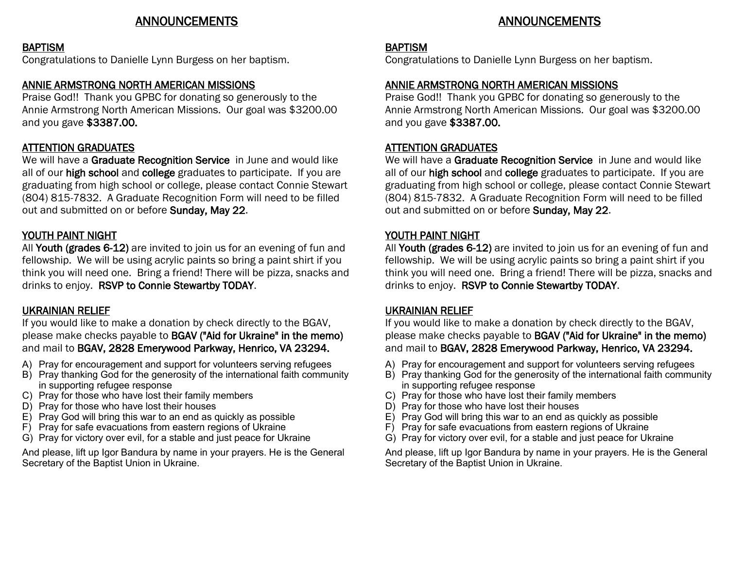# ANNOUNCEMENTS

#### **BAPTISM**

Congratulations to Danielle Lynn Burgess on her baptism.

## ANNIE ARMSTRONG NORTH AMERICAN MISSIONS

Praise God!! Thank you GPBC for donating so generously to the Annie Armstrong North American Missions. Our goal was \$3200.00 and you gave \$3387.00.

# ATTENTION GRADUATES

We will have a Graduate Recognition Service in June and would like all of our high school and college graduates to participate. If you are graduating from high school or college, please contact Connie Stewart (804) 815-7832. A Graduate Recognition Form will need to be filled out and submitted on or before Sunday, May 22.

## YOUTH PAINT NIGHT

All Youth (grades 6-12) are invited to join us for an evening of fun and fellowship. We will be using acrylic paints so bring a paint shirt if you think you will need one. Bring a friend! There will be pizza, snacks and drinks to enjoy. RSVP to Connie Stewartby TODAY.

### UKRAINIAN RELIEF

If you would like to make a donation by check directly to the BGAV, please make checks payable to BGAV ("Aid for Ukraine" in the memo) and mail to BGAV, 2828 Emerywood Parkway, Henrico, VA 23294.

- A) Pray for encouragement and support for volunteers serving refugees
- B) Pray thanking God for the generosity of the international faith community in supporting refugee response
- C) Pray for those who have lost their family members
- D) Pray for those who have lost their houses
- E) Pray God will bring this war to an end as quickly as possible
- F) Pray for safe evacuations from eastern regions of Ukraine
- G) Pray for victory over evil, for a stable and just peace for Ukraine

And please, lift up Igor Bandura by name in your prayers. He is the General Secretary of the Baptist Union in Ukraine.

# ANNOUNCEMENTS

#### BAPTISM

Congratulations to Danielle Lynn Burgess on her baptism.

## ANNIE ARMSTRONG NORTH AMERICAN MISSIONS

Praise God!! Thank you GPBC for donating so generously to the Annie Armstrong North American Missions. Our goal was \$3200.00 and you gave \$3387.00.

#### ATTENTION GRADUATES

We will have a Graduate Recognition Service in June and would like all of our high school and college graduates to participate. If you are graduating from high school or college, please contact Connie Stewart (804) 815-7832. A Graduate Recognition Form will need to be filled out and submitted on or before Sunday, May 22.

### YOUTH PAINT NIGHT

All Youth (grades 6-12) are invited to join us for an evening of fun and fellowship. We will be using acrylic paints so bring a paint shirt if you think you will need one. Bring a friend! There will be pizza, snacks and drinks to enjoy. RSVP to Connie Stewartby TODAY.

#### UKRAINIAN RELIEF

If you would like to make a donation by check directly to the BGAV, please make checks payable to BGAV ("Aid for Ukraine" in the memo) and mail to BGAV, 2828 Emerywood Parkway, Henrico, VA 23294.

- A) Pray for encouragement and support for volunteers serving refugees
- B) Pray thanking God for the generosity of the international faith community in supporting refugee response
- C) Pray for those who have lost their family members
- D) Pray for those who have lost their houses
- E) Pray God will bring this war to an end as quickly as possible
- F) Pray for safe evacuations from eastern regions of Ukraine
- G) Pray for victory over evil, for a stable and just peace for Ukraine

And please, lift up Igor Bandura by name in your prayers. He is the General Secretary of the Baptist Union in Ukraine.